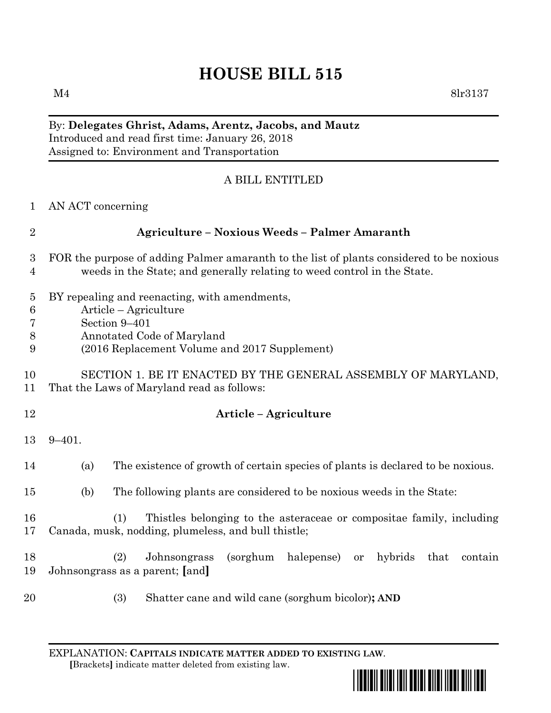# **HOUSE BILL 515**

 $M4$  8lr3137

### By: **Delegates Ghrist, Adams, Arentz, Jacobs, and Mautz** Introduced and read first time: January 26, 2018 Assigned to: Environment and Transportation

# A BILL ENTITLED

| $\mathbf{1}$                               | AN ACT concerning                                                                                                                                                      |
|--------------------------------------------|------------------------------------------------------------------------------------------------------------------------------------------------------------------------|
| $\overline{2}$                             | <b>Agriculture – Noxious Weeds – Palmer Amaranth</b>                                                                                                                   |
| 3<br>$\overline{4}$                        | FOR the purpose of adding Palmer amaranth to the list of plants considered to be noxious<br>weeds in the State; and generally relating to weed control in the State.   |
| $\overline{5}$<br>$\,6$<br>7<br>$8\,$<br>9 | BY repealing and reenacting, with amendments,<br>Article – Agriculture<br>Section 9-401<br>Annotated Code of Maryland<br>(2016 Replacement Volume and 2017 Supplement) |
| 10<br>11                                   | SECTION 1. BE IT ENACTED BY THE GENERAL ASSEMBLY OF MARYLAND,<br>That the Laws of Maryland read as follows:                                                            |
| 12                                         | Article - Agriculture                                                                                                                                                  |
| 13                                         | $9 - 401.$                                                                                                                                                             |
| 14                                         | The existence of growth of certain species of plants is declared to be noxious.<br>(a)                                                                                 |
| 15                                         | (b)<br>The following plants are considered to be noxious weeds in the State:                                                                                           |
| 16<br>17                                   | Thistles belonging to the asteraceae or compositae family, including<br>(1)<br>Canada, musk, nodding, plumeless, and bull thistle;                                     |
| 18<br>19                                   | (2)<br>Johnsongrass<br>(sorghum)<br>halepense)<br>hybrids<br>that<br>contain<br><b>or</b><br>Johnsongrass as a parent; [and]                                           |
| 20                                         | (3)<br>Shatter cane and wild cane (sorghum bicolor); AND                                                                                                               |

EXPLANATION: **CAPITALS INDICATE MATTER ADDED TO EXISTING LAW**.  **[**Brackets**]** indicate matter deleted from existing law.